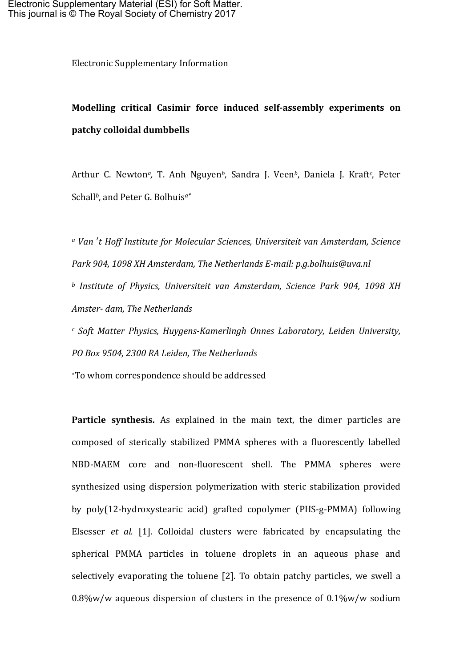Electronic Supplementary Information

## **Modelling critical Casimir force induced self-assembly experiments on patchy colloidal dumbbells**

Arthur C. Newton<sup>a</sup>, T. Anh Nguyen<sup>b</sup>, Sandra J. Veen<sup>b</sup>, Daniela J. Kraft<sup>c</sup>, Peter Schall<sup>b</sup>, and Peter G. Bolhuis<sup>a\*</sup>

*<sup>a</sup> Van* ′*t Hoff Institute for Molecular Sciences, Universiteit van Amsterdam, Science Park* 904, 1098 XH Amsterdam, The Netherlands E-mail: p.g.bolhuis@uva.nl *b* Institute of Physics, Universiteit van Amsterdam, Science Park 904, 1098 XH *Amster- dam, The Netherlands*

*<sup>c</sup> Soft Matter Physics, Huygens-Kamerlingh Onnes Laboratory, Leiden University,*  PO Box 9504, 2300 RA Leiden, The Netherlands

∗To whom correspondence should be addressed 

**Particle synthesis.** As explained in the main text, the dimer particles are composed of sterically stabilized PMMA spheres with a fluorescently labelled NBD-MAEM core and non-fluorescent shell. The PMMA spheres were synthesized using dispersion polymerization with steric stabilization provided by poly(12-hydroxystearic acid) grafted copolymer (PHS-g-PMMA) following Elsesser *et al.* [1]. Colloidal clusters were fabricated by encapsulating the spherical PMMA particles in toluene droplets in an aqueous phase and selectively evaporating the toluene  $[2]$ . To obtain patchy particles, we swell a  $0.8\%$ w/w aqueous dispersion of clusters in the presence of  $0.1\%$ w/w sodium